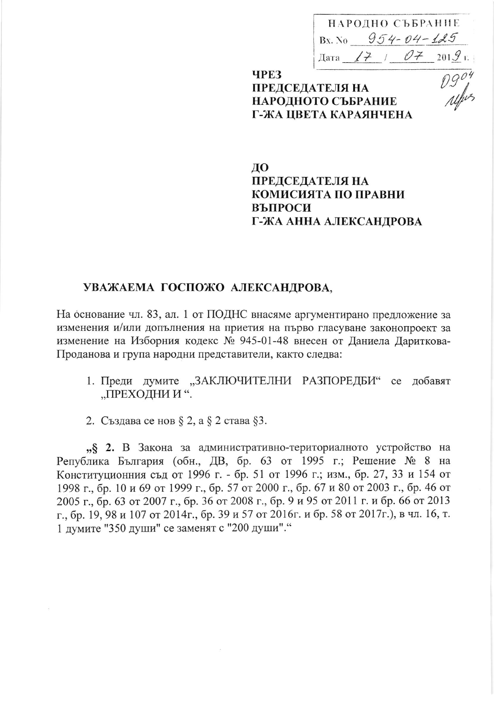НАРОДНО СЪБРАНИЕ Bx. No  $954 - 04 - 125$ 

# TEJS HA<br>
TEJS HA<br>
TEJS HA<br>
TEJS HA<br>
TO CЪБРАНИЕ *AUFUS* **ЧРЕЗ ПРЕДСЕДАТЕЛЯ НА** НАРОДНОТО СЪБРАНИЕ Г-ЖА ЦВЕТА КАРАЯНЧЕНА

## ДО **ПРЕДСЕДАТЕЛЯ НА** КОМИСИЯТА ПО ПРАВНИ ВЪПРОСИ Г-ЖА АННА АЛЕКСАНДРОВА

## УВАЖАЕМА ГОСПОЖО АЛЕКСАНДРОВА,

На основание чл. 83, ал. 1 от ПОДНС внасяме аргументирано предложение за изменения и/или допълнения на приетия на първо гласуване законопроект за изменение на Изборния кодекс № 945-01-48 внесен от Даниела Дариткова-Проданова и група народни представители, както следва:

- 1. Преди думите "ЗАКЛЮЧИТЕЛНИ РАЗПОРЕДБИ" се добавят "ПРЕХОДНИ И".
- 2. Създава се нов § 2, а § 2 става §3.

"§ 2. В Закона за административно-териториалното устройство на Република България (обн., ДВ, бр. 63 от 1995 г.; Решение № 8 на Конституционния съд от 1996 г. - бр. 51 от 1996 г.; изм., бр. 27, 33 и 154 от 1998 г., бр. 10 и 69 от 1999 г., бр. 57 от 2000 г., бр. 67 и 80 от 2003 г., бр. 46 от 2005 г., бр. 63 от 2007 г., бр. 36 от 2008 г., бр. 9 и 95 от 2011 г. и бр. 66 от 2013 г., бр. 19, 98 и 107 от 2014г., бр. 39 и 57 от 2016г. и бр. 58 от 2017г.), в чл. 16, т. 1 думите "350 души" се заменят с "200 души"."